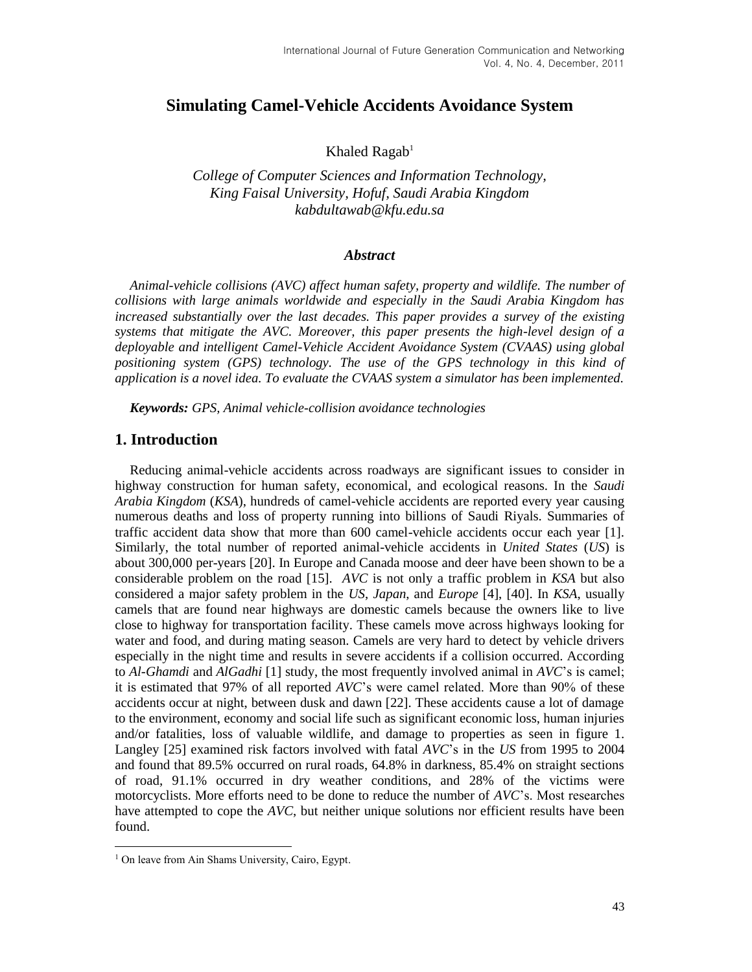# **Simulating Camel-Vehicle Accidents Avoidance System**

Khaled  $Ragab<sup>1</sup>$ 

*College of Computer Sciences and Information Technology, King Faisal University, Hofuf, Saudi Arabia Kingdom kabdultawab@kfu.edu.sa*

#### *Abstract*

*Animal-vehicle collisions (AVC) affect human safety, property and wildlife. The number of collisions with large animals worldwide and especially in the Saudi Arabia Kingdom has increased substantially over the last decades. This paper provides a survey of the existing systems that mitigate the AVC. Moreover, this paper presents the high-level design of a deployable and intelligent Camel-Vehicle Accident Avoidance System (CVAAS) using global positioning system (GPS) technology. The use of the GPS technology in this kind of application is a novel idea. To evaluate the CVAAS system a simulator has been implemented.*

*Keywords: GPS, Animal vehicle-collision avoidance technologies*

## **1. Introduction**

Reducing animal-vehicle accidents across roadways are significant issues to consider in highway construction for human safety, economical, and ecological reasons. In the *Saudi Arabia Kingdom* (*KSA*), hundreds of camel-vehicle accidents are reported every year causing numerous deaths and loss of property running into billions of Saudi Riyals. Summaries of traffic accident data show that more than 600 camel-vehicle accidents occur each year [1]. Similarly, the total number of reported animal-vehicle accidents in *United States* (*US*) is about 300,000 per-years [20]. In Europe and Canada moose and deer have been shown to be a considerable problem on the road [15]. *AVC* is not only a traffic problem in *KSA* but also considered a major safety problem in the *US*, *Japan*, and *Europe* [4], [40]. In *KSA*, usually camels that are found near highways are domestic camels because the owners like to live close to highway for transportation facility. These camels move across highways looking for water and food, and during mating season. Camels are very hard to detect by vehicle drivers especially in the night time and results in severe accidents if a collision occurred. According to *Al-Ghamdi* and *AlGadhi* [1] study, the most frequently involved animal in *AVC*'s is camel; it is estimated that 97% of all reported *AVC*'s were camel related. More than 90% of these accidents occur at night, between dusk and dawn [22]. These accidents cause a lot of damage to the environment, economy and social life such as significant economic loss, human injuries and/or fatalities, loss of valuable wildlife, and damage to properties as seen in figure 1. Langley [25] examined risk factors involved with fatal *AVC*'s in the *US* from 1995 to 2004 and found that 89.5% occurred on rural roads, 64.8% in darkness, 85.4% on straight sections of road, 91.1% occurred in dry weather conditions, and 28% of the victims were motorcyclists. More efforts need to be done to reduce the number of *AVC*'s. Most researches have attempted to cope the *AVC*, but neither unique solutions nor efficient results have been found.

l

<sup>&</sup>lt;sup>1</sup> On leave from Ain Shams University, Cairo, Egypt.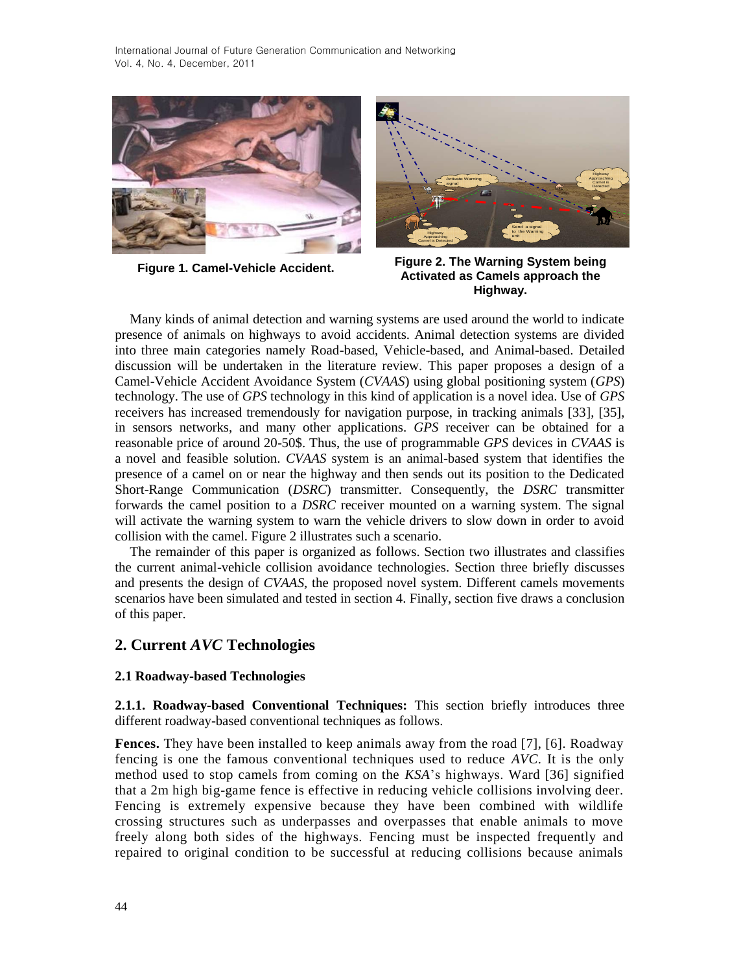



Many kinds of animal detection and warning systems are used around the world to indicate presence of animals on highways to avoid accidents. Animal detection systems are divided into three main categories namely Road-based, Vehicle-based, and Animal-based. Detailed discussion will be undertaken in the literature review. This paper proposes a design of a Camel-Vehicle Accident Avoidance System (*CVAAS*) using global positioning system (*GPS*) technology. The use of *GPS* technology in this kind of application is a novel idea. Use of *GPS* receivers has increased tremendously for navigation purpose, in tracking animals [33], [35], in sensors networks, and many other applications. *GPS* receiver can be obtained for a reasonable price of around 20-50\$. Thus, the use of programmable *GPS* devices in *CVAAS* is a novel and feasible solution. *CVAAS* system is an animal-based system that identifies the presence of a camel on or near the highway and then sends out its position to the Dedicated Short-Range Communication (*DSRC*) transmitter. Consequently, the *DSRC* transmitter forwards the camel position to a *DSRC* receiver mounted on a warning system. The signal will activate the warning system to warn the vehicle drivers to slow down in order to avoid collision with the camel. Figure 2 illustrates such a scenario.

The remainder of this paper is organized as follows. Section two illustrates and classifies the current animal-vehicle collision avoidance technologies. Section three briefly discusses and presents the design of *CVAAS*, the proposed novel system. Different camels movements scenarios have been simulated and tested in section 4. Finally, section five draws a conclusion of this paper.

## **2. Current** *AVC* **Technologies**

## **2.1 Roadway-based Technologies**

**2.1.1. Roadway-based Conventional Techniques:** This section briefly introduces three different roadway-based conventional techniques as follows.

**Fences.** They have been installed to keep animals away from the road [7], [6]. Roadway fencing is one the famous conventional techniques used to reduce *AVC*. It is the only method used to stop camels from coming on the *KSA*'s highways. Ward [36] signified that a 2m high big-game fence is effective in reducing vehicle collisions involving deer. Fencing is extremely expensive because they have been combined with wildlife crossing structures such as underpasses and overpasses that enable animals to move freely along both sides of the highways. Fencing must be inspected frequently and repaired to original condition to be successful at reducing collisions because animals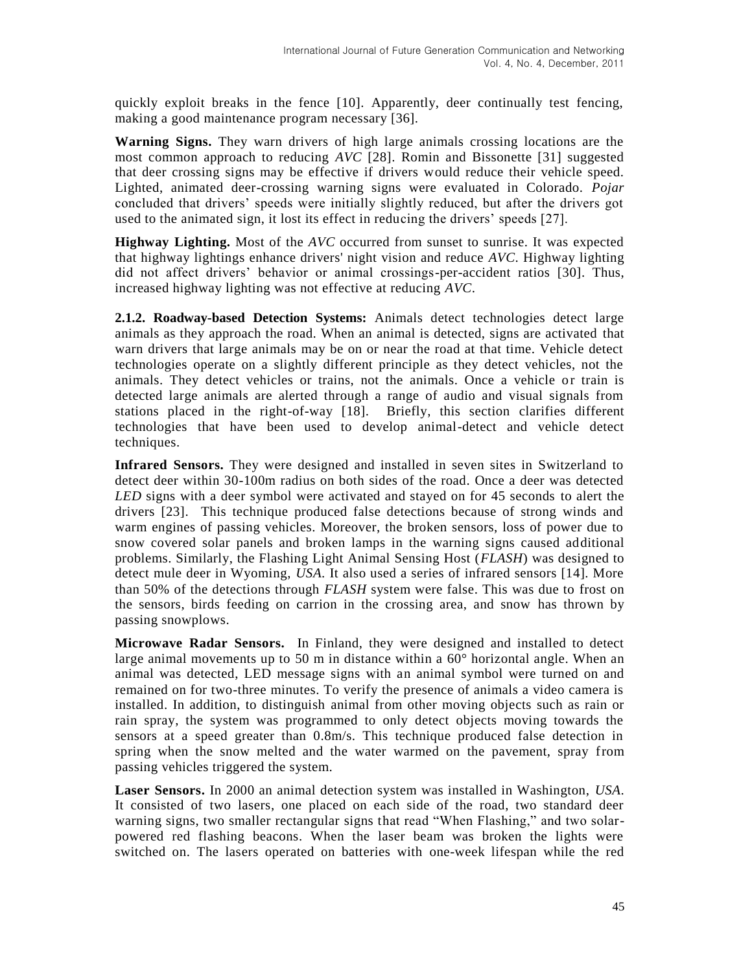quickly exploit breaks in the fence [10]. Apparently, deer continually test fencing, making a good maintenance program necessary [36].

**Warning Signs.** They warn drivers of high large animals crossing locations are the most common approach to reducing *AVC* [28]. Romin and Bissonette [31] suggested that deer crossing signs may be effective if drivers would reduce their vehicle speed. Lighted, animated deer-crossing warning signs were evaluated in Colorado. *Pojar* concluded that drivers' speeds were initially slightly reduced, but after the drivers got used to the animated sign, it lost its effect in reducing the drivers' speeds [27].

**Highway Lighting.** Most of the *AVC* occurred from sunset to sunrise. It was expected that highway lightings enhance drivers' night vision and reduce *AVC*. Highway lighting did not affect drivers' behavior or animal crossings-per-accident ratios [30]. Thus, increased highway lighting was not effective at reducing *AVC*.

**2.1.2. Roadway-based Detection Systems:** Animals detect technologies detect large animals as they approach the road. When an animal is detected, signs are activated that warn drivers that large animals may be on or near the road at that time. Vehicle detect technologies operate on a slightly different principle as they detect vehicles, not the animals. They detect vehicles or trains, not the animals. Once a vehicle or train is detected large animals are alerted through a range of audio and visual signals from stations placed in the right-of-way [18]. Briefly, this section clarifies different technologies that have been used to develop animal-detect and vehicle detect techniques.

**Infrared Sensors.** They were designed and installed in seven sites in Switzerland to detect deer within 30-100m radius on both sides of the road. Once a deer was detected *LED* signs with a deer symbol were activated and stayed on for 45 seconds to alert the drivers [23]. This technique produced false detections because of strong winds and warm engines of passing vehicles. Moreover, the broken sensors, loss of power due to snow covered solar panels and broken lamps in the warning signs caused additional problems. Similarly, the Flashing Light Animal Sensing Host (*FLASH*) was designed to detect mule deer in Wyoming, *USA*. It also used a series of infrared sensors [14]. More than 50% of the detections through *FLASH* system were false. This was due to frost on the sensors, birds feeding on carrion in the crossing area, and snow has thrown by passing snowplows.

**Microwave Radar Sensors.** In Finland, they were designed and installed to detect large animal movements up to 50 m in distance within a  $60^{\circ}$  horizontal angle. When an animal was detected, LED message signs with an animal symbol were turned on and remained on for two-three minutes. To verify the presence of animals a video camera is installed. In addition, to distinguish animal from other moving objects such as rain or rain spray, the system was programmed to only detect objects moving towards the sensors at a speed greater than 0.8m/s. This technique produced false detection in spring when the snow melted and the water warmed on the pavement, spray from passing vehicles triggered the system.

**Laser Sensors.** In 2000 an animal detection system was installed in Washington, *USA*. It consisted of two lasers, one placed on each side of the road, two standard deer warning signs, two smaller rectangular signs that read "When Flashing," and two solarpowered red flashing beacons. When the laser beam was broken the lights were switched on. The lasers operated on batteries with one-week lifespan while the red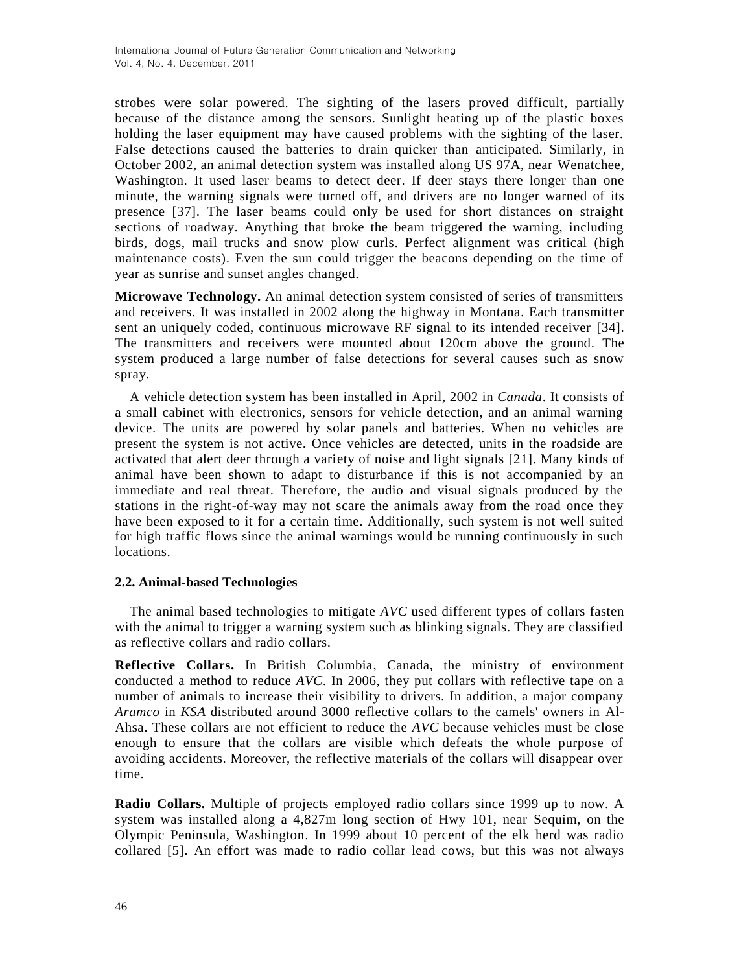strobes were solar powered. The sighting of the lasers proved difficult, partially because of the distance among the sensors. Sunlight heating up of the plastic boxes holding the laser equipment may have caused problems with the sighting of the laser. False detections caused the batteries to drain quicker than anticipated. Similarly, in October 2002, an animal detection system was installed along US 97A, near Wenatchee, Washington. It used laser beams to detect deer. If deer stays there longer than one minute, the warning signals were turned off, and drivers are no longer warned of its presence [37]. The laser beams could only be used for short distances on straight sections of roadway. Anything that broke the beam triggered the warning, including birds, dogs, mail trucks and snow plow curls. Perfect alignment was critical (high maintenance costs). Even the sun could trigger the beacons depending on the time of year as sunrise and sunset angles changed.

**Microwave Technology.** An animal detection system consisted of series of transmitters and receivers. It was installed in 2002 along the highway in Montana. Each transmitter sent an uniquely coded, continuous microwave RF signal to its intended receiver [34]. The transmitters and receivers were mounted about 120cm above the ground. The system produced a large number of false detections for several causes such as snow spray.

A vehicle detection system has been installed in April, 2002 in *Canada*. It consists of a small cabinet with electronics, sensors for vehicle detection, and an animal warning device. The units are powered by solar panels and batteries. When no vehicles are present the system is not active. Once vehicles are detected, units in the roadside are activated that alert deer through a variety of noise and light signals [21]. Many kinds of animal have been shown to adapt to disturbance if this is not accompanied by an immediate and real threat. Therefore, the audio and visual signals produced by the stations in the right-of-way may not scare the animals away from the road once they have been exposed to it for a certain time. Additionally, such system is not well suited for high traffic flows since the animal warnings would be running continuously in such locations.

## **2.2. Animal-based Technologies**

The animal based technologies to mitigate *AVC* used different types of collars fasten with the animal to trigger a warning system such as blinking signals. They are classified as reflective collars and radio collars.

**Reflective Collars.** In British Columbia, Canada, the ministry of environment conducted a method to reduce *AVC*. In 2006, they put collars with reflective tape on a number of animals to increase their visibility to drivers. In addition, a major company *Aramco* in *KSA* distributed around 3000 reflective collars to the camels' owners in Al-Ahsa. These collars are not efficient to reduce the *AVC* because vehicles must be close enough to ensure that the collars are visible which defeats the whole purpose of avoiding accidents. Moreover, the reflective materials of the collars will disappear over time.

**Radio Collars.** Multiple of projects employed radio collars since 1999 up to now. A system was installed along a 4,827m long section of Hwy 101, near Sequim, on the Olympic Peninsula, Washington. In 1999 about 10 percent of the elk herd was radio collared [5]. An effort was made to radio collar lead cows, but this was not always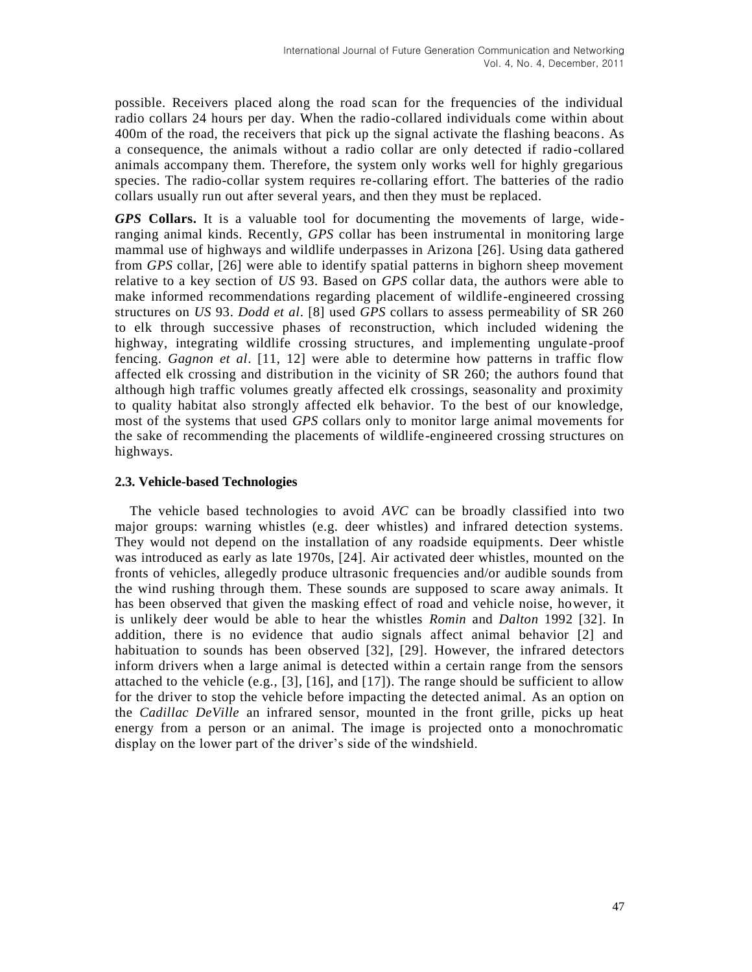possible. Receivers placed along the road scan for the frequencies of the individual radio collars 24 hours per day. When the radio-collared individuals come within about 400m of the road, the receivers that pick up the signal activate the flashing beacons. As a consequence, the animals without a radio collar are only detected if radio-collared animals accompany them. Therefore, the system only works well for highly gregarious species. The radio-collar system requires re-collaring effort. The batteries of the radio collars usually run out after several years, and then they must be replaced.

*GPS* **Collars.** It is a valuable tool for documenting the movements of large, wideranging animal kinds. Recently, *GPS* collar has been instrumental in monitoring large mammal use of highways and wildlife underpasses in Arizona [26]. Using data gathered from *GPS* collar, [26] were able to identify spatial patterns in bighorn sheep movement relative to a key section of *US* 93. Based on *GPS* collar data, the authors were able to make informed recommendations regarding placement of wildlife-engineered crossing structures on *US* 93. *Dodd et al*. [8] used *GPS* collars to assess permeability of SR 260 to elk through successive phases of reconstruction, which included widening the highway, integrating wildlife crossing structures, and implementing ungulate -proof fencing. *Gagnon et al*. [11, 12] were able to determine how patterns in traffic flow affected elk crossing and distribution in the vicinity of SR 260; the authors found that although high traffic volumes greatly affected elk crossings, seasonality and proximity to quality habitat also strongly affected elk behavior. To the best of our knowledge, most of the systems that used *GPS* collars only to monitor large animal movements for the sake of recommending the placements of wildlife-engineered crossing structures on highways.

## **2.3. Vehicle-based Technologies**

The vehicle based technologies to avoid *AVC* can be broadly classified into two major groups: warning whistles (e.g. deer whistles) and infrared detection systems. They would not depend on the installation of any roadside equipments. Deer whistle was introduced as early as late 1970s, [24]. Air activated deer whistles, mounted on the fronts of vehicles, allegedly produce ultrasonic frequencies and/or audible sounds from the wind rushing through them. These sounds are supposed to scare away animals. It has been observed that given the masking effect of road and vehicle noise, however, it is unlikely deer would be able to hear the whistles *Romin* and *Dalton* 1992 [32]. In addition, there is no evidence that audio signals affect animal behavior [2] and habituation to sounds has been observed [32], [29]. However, the infrared detectors inform drivers when a large animal is detected within a certain range from the sensors attached to the vehicle (e.g., [3], [16], and [17]). The range should be sufficient to allow for the driver to stop the vehicle before impacting the detected animal. As an option on the *Cadillac DeVille* an infrared sensor, mounted in the front grille, picks up heat energy from a person or an animal. The image is projected onto a monochromatic display on the lower part of the driver's side of the windshield.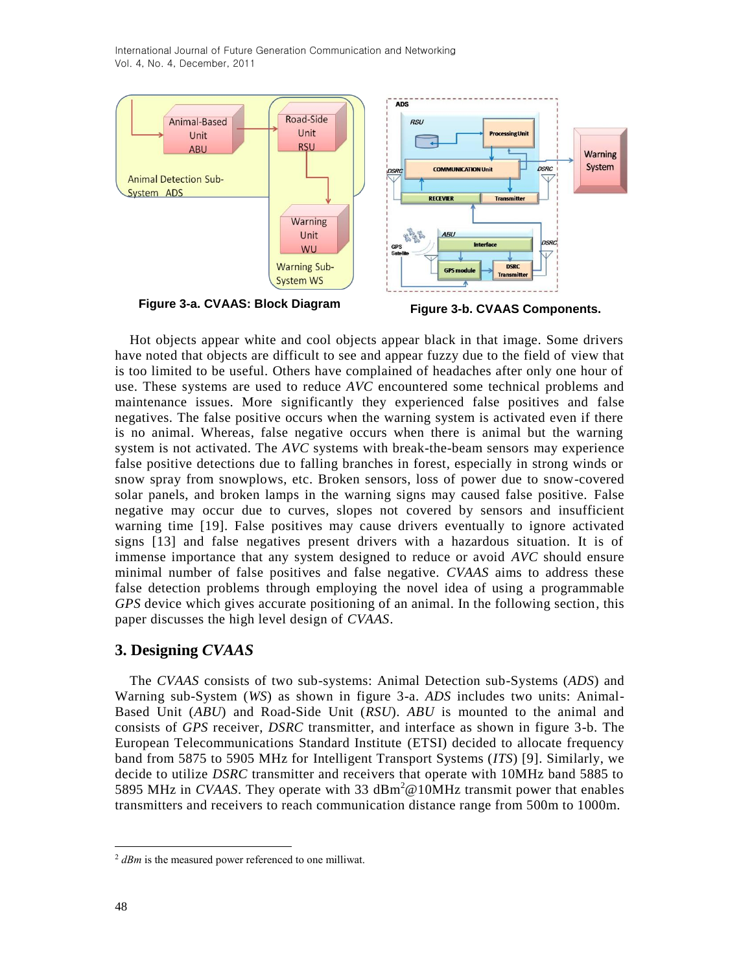International Journal of Future Generation Communication and Networking Vol. 4, No. 4, December, 2011



Hot objects appear white and cool objects appear black in that image. Some drivers have noted that objects are difficult to see and appear fuzzy due to the field of view that is too limited to be useful. Others have complained of headaches after only one hour of use. These systems are used to reduce *AVC* encountered some technical problems and maintenance issues. More significantly they experienced false positives and false negatives. The false positive occurs when the warning system is activated even if there is no animal. Whereas, false negative occurs when there is animal but the warning system is not activated. The *AVC* systems with break-the-beam sensors may experience false positive detections due to falling branches in forest, especially in strong winds or snow spray from snowplows, etc. Broken sensors, loss of power due to snow-covered solar panels, and broken lamps in the warning signs may caused false positive. False negative may occur due to curves, slopes not covered by sensors and insufficient warning time [19]. False positives may cause drivers eventually to ignore activated signs [13] and false negatives present drivers with a hazardous situation. It is of immense importance that any system designed to reduce or avoid *AVC* should ensure minimal number of false positives and false negative. *CVAAS* aims to address these false detection problems through employing the novel idea of using a programmable *GPS* device which gives accurate positioning of an animal. In the following section, this paper discusses the high level design of *CVAAS*.

## **3. Designing** *CVAAS*

The *CVAAS* consists of two sub-systems: Animal Detection sub-Systems (*ADS*) and Warning sub-System (*WS*) as shown in figure 3-a. *ADS* includes two units: Animal-Based Unit (*ABU*) and Road-Side Unit (*RSU*). *ABU* is mounted to the animal and consists of *GPS* receiver, *DSRC* transmitter, and interface as shown in figure 3-b. The European Telecommunications Standard Institute (ETSI) decided to allocate frequency band from 5875 to 5905 MHz for Intelligent Transport Systems (*ITS*) [9]. Similarly, we decide to utilize *DSRC* transmitter and receivers that operate with 10MHz band 5885 to 5895 MHz in *CVAAS*. They operate with 33  $\text{dBm}^2$  @10MHz transmit power that enables transmitters and receivers to reach communication distance range from 500m to 1000m.

l

<sup>2</sup> *dBm* is the measured power referenced to one milliwat.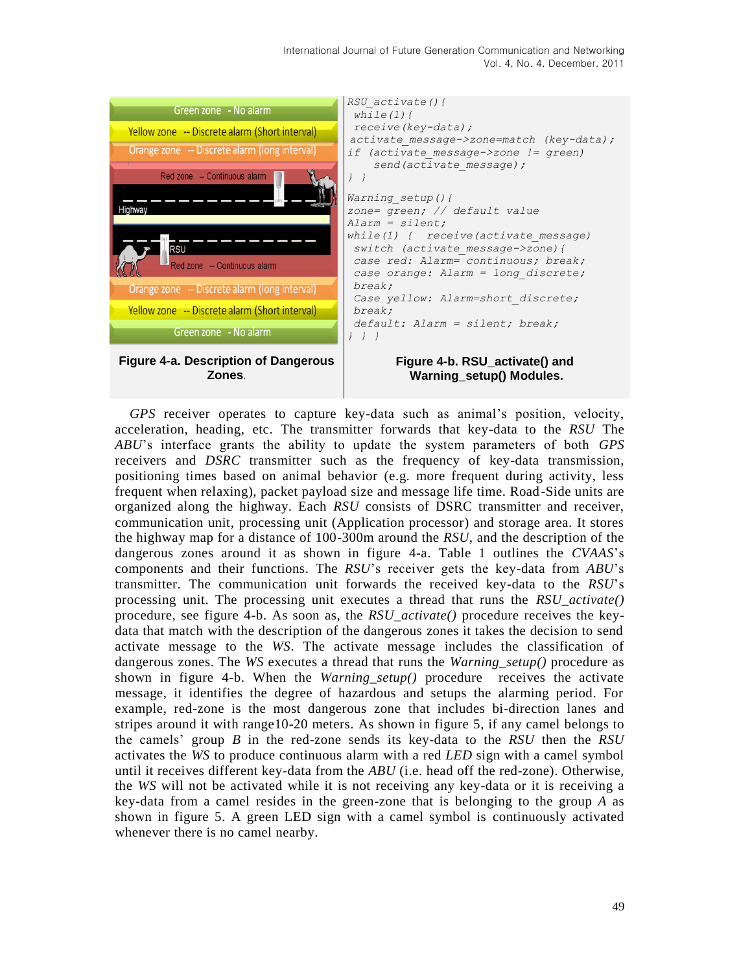International Journal of Future Generation Communication and Networking Vol. 4, No. 4, December, 2011



*GPS* receiver operates to capture key-data such as animal's position, velocity, acceleration, heading, etc. The transmitter forwards that key-data to the *RSU* The *ABU*'s interface grants the ability to update the system parameters of both *GPS* receivers and *DSRC* transmitter such as the frequency of key-data transmission, positioning times based on animal behavior (e.g. more frequent during activity, less frequent when relaxing), packet payload size and message life time. Road-Side units are organized along the highway. Each *RSU* consists of DSRC transmitter and receiver, communication unit, processing unit (Application processor) and storage area. It stores the highway map for a distance of 100-300m around the *RSU*, and the description of the dangerous zones around it as shown in figure 4-a. Table 1 outlines the *CVAAS*'s components and their functions. The *RSU*'s receiver gets the key-data from *ABU*'s transmitter. The communication unit forwards the received key-data to the *RSU*'s processing unit. The processing unit executes a thread that runs the *RSU\_activate()* procedure, see figure 4-b. As soon as, the *RSU\_activate()* procedure receives the keydata that match with the description of the dangerous zones it takes the decision to send activate message to the *WS*. The activate message includes the classification of dangerous zones. The *WS* executes a thread that runs the *Warning\_setup()* procedure as shown in figure 4-b. When the *Warning\_setup()* procedure receives the activate message, it identifies the degree of hazardous and setups the alarming period. For example, red-zone is the most dangerous zone that includes bi-direction lanes and stripes around it with range10-20 meters. As shown in figure 5, if any camel belongs to the camels' group *B* in the red-zone sends its key-data to the *RSU* then the *RSU* activates the *WS* to produce continuous alarm with a red *LED* sign with a camel symbol until it receives different key-data from the *ABU* (i.e. head off the red-zone). Otherwise, the *WS* will not be activated while it is not receiving any key-data or it is receiving a key-data from a camel resides in the green-zone that is belonging to the group *A* as shown in figure 5. A green LED sign with a camel symbol is continuously activated whenever there is no camel nearby.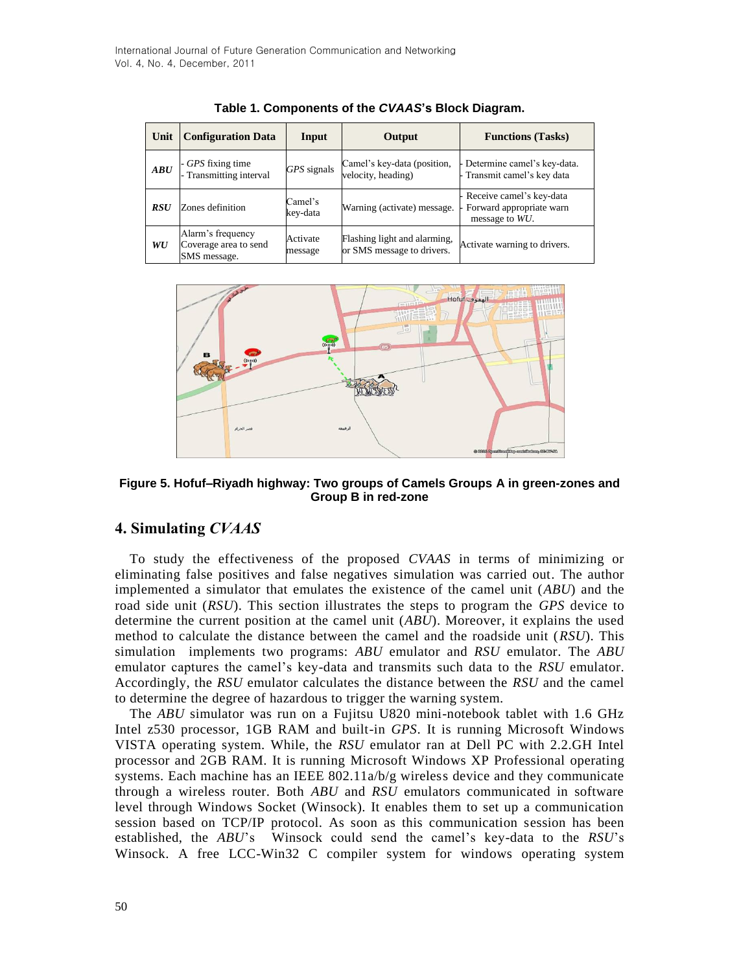| Unit       | <b>Configuration Data</b>                                  | Input               | Output                                                     | <b>Functions</b> (Tasks)                                                 |
|------------|------------------------------------------------------------|---------------------|------------------------------------------------------------|--------------------------------------------------------------------------|
| ABU        | - GPS fixing time<br>Transmitting interval                 | GPS signals         | Camel's key-data (position,<br>velocity, heading)          | - Determine camel's key-data.<br>- Transmit camel's key data             |
| <b>RSU</b> | Zones definition                                           | Camel's<br>kev-data | Warning (activate) message.                                | - Receive camel's key-data<br>Forward appropriate warn<br>message to WU. |
| WU         | Alarm's frequency<br>Coverage area to send<br>SMS message. | Activate<br>message | Flashing light and alarming,<br>or SMS message to drivers. | Activate warning to drivers.                                             |

**Table 1. Components of the** *CVAAS***'s Block Diagram.**



**Figure 5. Hofuf–Riyadh highway: Two groups of Camels Groups A in green-zones and Group B in red-zone**

## **4. Simulating** *CVAAS*

To study the effectiveness of the proposed *CVAAS* in terms of minimizing or eliminating false positives and false negatives simulation was carried out. The author implemented a simulator that emulates the existence of the camel unit (*ABU*) and the road side unit (*RSU*). This section illustrates the steps to program the *GPS* device to determine the current position at the camel unit (*ABU*). Moreover, it explains the used method to calculate the distance between the camel and the roadside unit (*RSU*). This simulation implements two programs: *ABU* emulator and *RSU* emulator. The *ABU* emulator captures the camel's key-data and transmits such data to the *RSU* emulator. Accordingly, the *RSU* emulator calculates the distance between the *RSU* and the camel to determine the degree of hazardous to trigger the warning system.

The *ABU* simulator was run on a Fujitsu U820 mini-notebook tablet with 1.6 GHz Intel z530 processor, 1GB RAM and built-in *GPS*. It is running Microsoft Windows VISTA operating system. While, the *RSU* emulator ran at Dell PC with 2.2.GH Intel processor and 2GB RAM. It is running Microsoft Windows XP Professional operating systems. Each machine has an IEEE 802.11a/b/g wireless device and they communicate through a wireless router. Both *ABU* and *RSU* emulators communicated in software level through Windows Socket (Winsock). It enables them to set up a communication session based on TCP/IP protocol. As soon as this communication session has been established, the *ABU*'s Winsock could send the camel's key-data to the *RSU*'s Winsock. A free LCC-Win32 C compiler system for windows operating system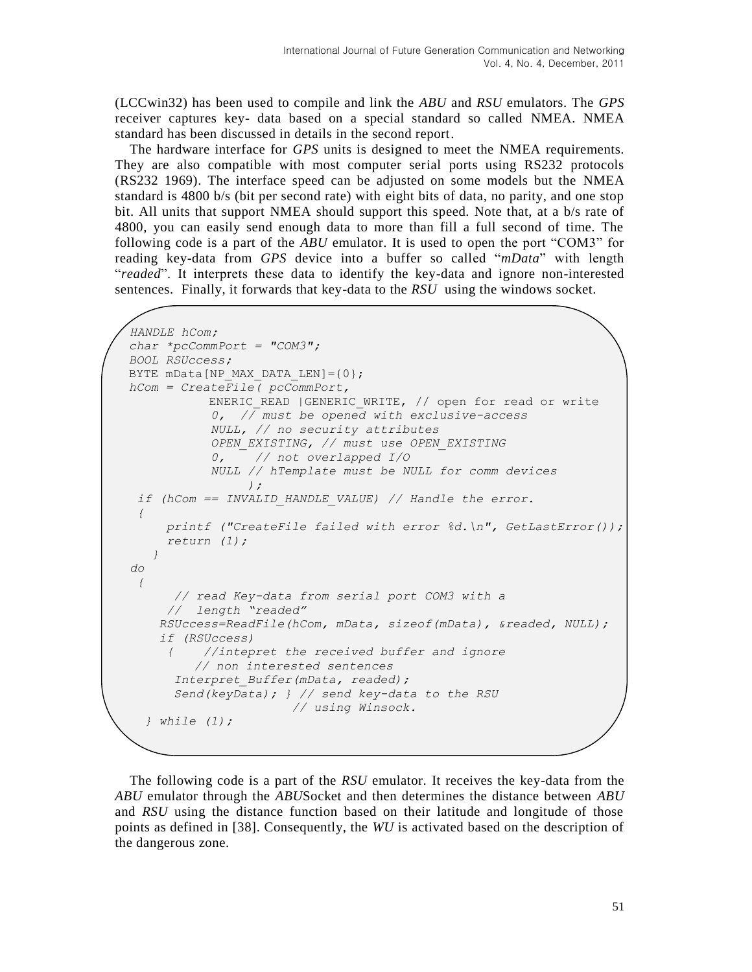(LCCwin32) has been used to compile and link the *ABU* and *RSU* emulators. The *GPS* receiver captures key- data based on a special standard so called NMEA. NMEA standard has been discussed in details in the second report.

The hardware interface for *GPS* units is designed to meet the NMEA requirements. They are also compatible with most computer serial ports using RS232 protocols (RS232 1969). The interface speed can be adjusted on some models but the NMEA standard is 4800 b/s (bit per second rate) with eight bits of data, no parity, and one stop bit. All units that support NMEA should support this speed. Note that, at a b/s rate of 4800, you can easily send enough data to more than fill a full second of time. The following code is a part of the *ABU* emulator. It is used to open the port "COM3" for reading key-data from *GPS* device into a buffer so called "*mData*" with length "*readed*". It interprets these data to identify the key-data and ignore non-interested sentences. Finally, it forwards that key-data to the *RSU* using the windows socket.

```
 HANDLE hCom;
 char *pcCommPort = "COM3";
 BOOL RSUccess;
 BYTE mData[NP_MAX_DATA_LEN]={0};
 hCom = CreateFile( pcCommPort,
            ENERIC READ | GENERIC WRITE, // open for read or write
              0, // must be opened with exclusive-access
              NULL, // no security attributes
              OPEN_EXISTING, // must use OPEN_EXISTING
              0, // not overlapped I/O
              NULL // hTemplate must be NULL for comm devices
 );
   if (hCom == INVALID_HANDLE_VALUE) // Handle the error.
   { 
       printf ("CreateFile failed with error %d.\n", GetLastError());
       return (1); 
      }
  do 
    { 
        // read Key-data from serial port COM3 with a 
       // length "readed"
      RSUccess=ReadFile(hCom, mData, sizeof(mData), &readed, NULL);
       if (RSUccess) 
       { //intepret the received buffer and ignore
           // non interested sentences
        Interpret_Buffer(mData, readed); 
        Send(keyData); } // send key-data to the RSU
                         // using Winsock.
     } while (1);
```
The following code is a part of the *RSU* emulator. It receives the key-data from the *ABU* emulator through the *ABU*Socket and then determines the distance between *ABU* and *RSU* using the distance function based on their latitude and longitude of those points as defined in [38]. Consequently, the *WU* is activated based on the description of the dangerous zone.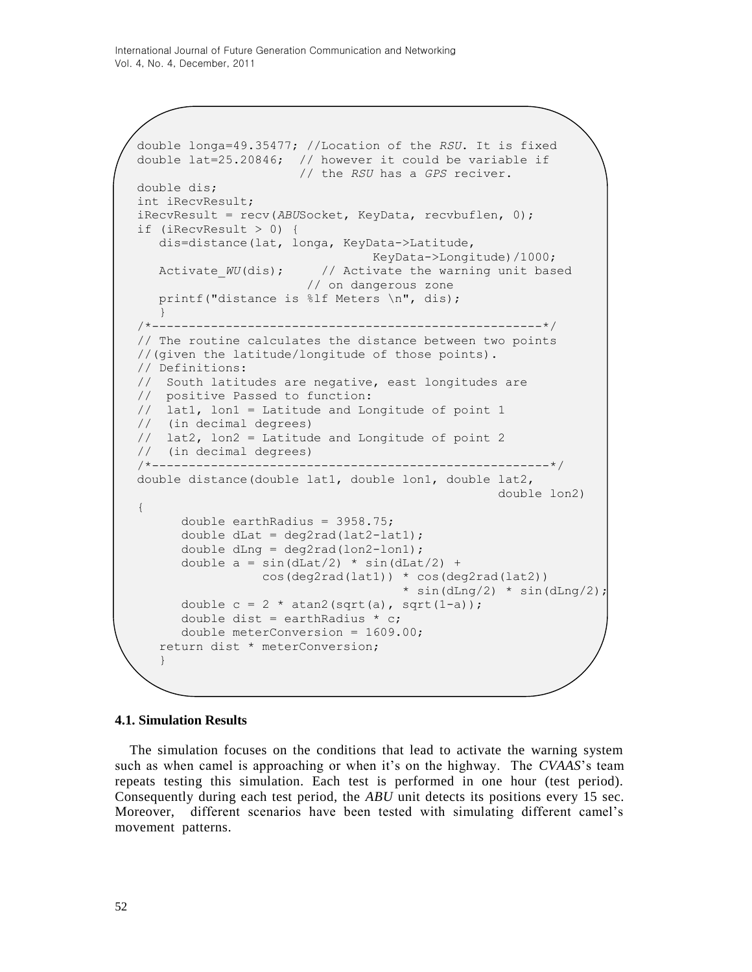```
double longa=49.35477; //Location of the RSU. It is fixed 
double lat=25.20846; // however it could be variable if 
                       // the RSU has a GPS reciver.
double dis;
int iRecvResult;
iRecvResult = recv(ABUSocket, KeyData, recvbuflen, 0); 
if (iRecvResult > 0) {
    dis=distance(lat, longa, KeyData->Latitude,
                                 KeyData->Longitude)/1000;
   Activate WU(dis); // Activate the warning unit based
                        // on dangerous zone
    printf("distance is %lf Meters \n", dis); 
   }
/*-----------------------------------------------------*/
// The routine calculates the distance between two points 
//(given the latitude/longitude of those points). 
// Definitions: 
// South latitudes are negative, east longitudes are 
// positive Passed to function: 
// lat1, lon1 = Latitude and Longitude of point 1 
// (in decimal degrees) 
// lat2, lon2 = Latitude and Longitude of point 2 
// (in decimal degrees) 
/*------------------------------------------------------*/
double distance(double lat1, double lon1, double lat2, 
                                                   double lon2) 
{
      double earthRadius = 3958.75;
      double dLat = deg2rad(lat2-lat1);double dLng = deg2rad(lon2-lon1);
      double a = sin(dLat/2) * sin(dLat/2) + cos(deg2rad(lat1)) * cos(deg2rad(lat2))
                                     * sin(dLng/2) * sin(dLng/2);
      double c = 2 * \text{atan2}(\text{sqrt}(a), \text{sqrt}(1-a));double dist = earthRadius * c;
      double meterConversion = 1609.00; 
   return dist * meterConversion; 
   }
```
#### **4.1. Simulation Results**

The simulation focuses on the conditions that lead to activate the warning system such as when camel is approaching or when it's on the highway. The *CVAAS*'s team repeats testing this simulation. Each test is performed in one hour (test period). Consequently during each test period, the *ABU* unit detects its positions every 15 sec. Moreover, different scenarios have been tested with simulating different camel's movement patterns.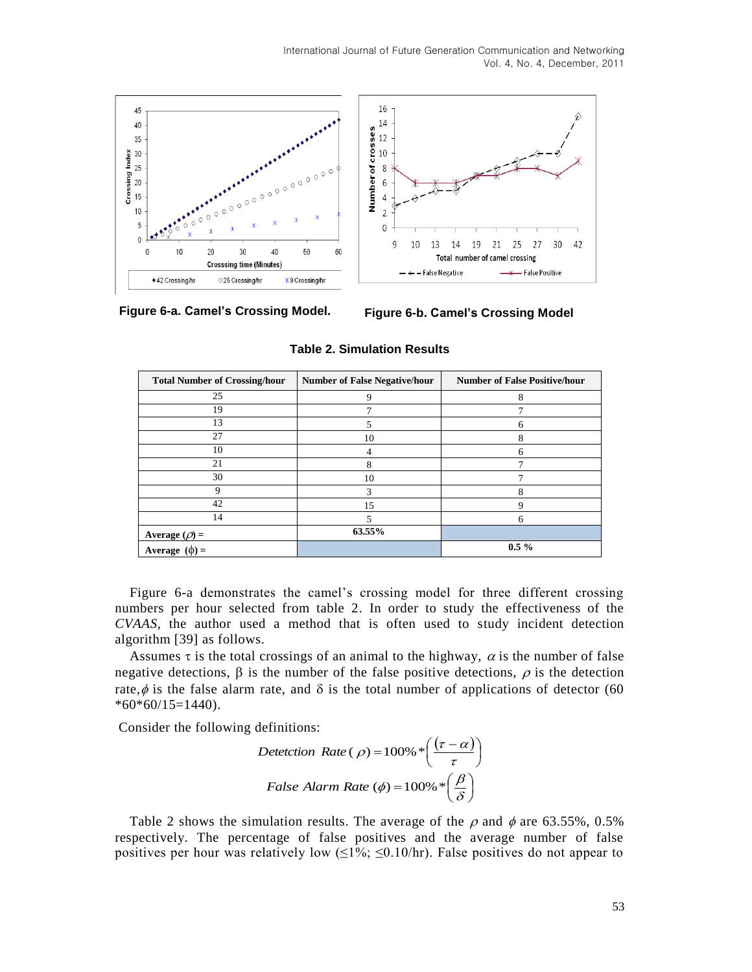International Journal of Future Generation Communication and Networking Vol. 4, No. 4, December, 2011



**Figure 6-a. Camel's Crossing Model. Figure 6-b. Camel's Crossing Model**

| <b>Total Number of Crossing/hour</b> | <b>Number of False Negative/hour</b> | <b>Number of False Positive/hour</b> |
|--------------------------------------|--------------------------------------|--------------------------------------|
| 25                                   | $\mathbf Q$                          | 8                                    |
| 19                                   |                                      |                                      |
| 13                                   |                                      |                                      |
| 27                                   | 10                                   | 8                                    |
| 10                                   |                                      | 6                                    |
| 21                                   | Ω                                    |                                      |
| 30                                   | 10                                   |                                      |
| Q                                    |                                      |                                      |
| 42                                   | 15                                   | c                                    |
| 14                                   |                                      | 6                                    |
| Average $(\rho)$ =                   | 63.55%                               |                                      |
| Average $(\phi)$ =                   |                                      | $0.5 \%$                             |

**Table 2. Simulation Results**

Figure 6-a demonstrates the camel's crossing model for three different crossing numbers per hour selected from table 2. In order to study the effectiveness of the *CVAAS*, the author used a method that is often used to study incident detection algorithm [39] as follows.

Assumes  $\tau$  is the total crossings of an animal to the highway,  $\alpha$  is the number of false negative detections,  $\beta$  is the number of the false positive detections,  $\rho$  is the detection rate,  $\phi$  is the false alarm rate, and  $\delta$  is the total number of applications of detector (60  $*60*60/15=1440$ .

Consider the following definitions:

$$
Detection Rate (\rho) = 100\% * \left(\frac{(\tau - \alpha)}{\tau}\right)
$$
  

$$
False Alarm Rate (\phi) = 100\% * \left(\frac{\beta}{\delta}\right)
$$

Table 2 shows the simulation results. The average of the  $\rho$  and  $\phi$  are 63.55%, 0.5% respectively. The percentage of false positives and the average number of false positives per hour was relatively low  $(\leq 1\%; \leq 0.10/\text{hr})$ . False positives do not appear to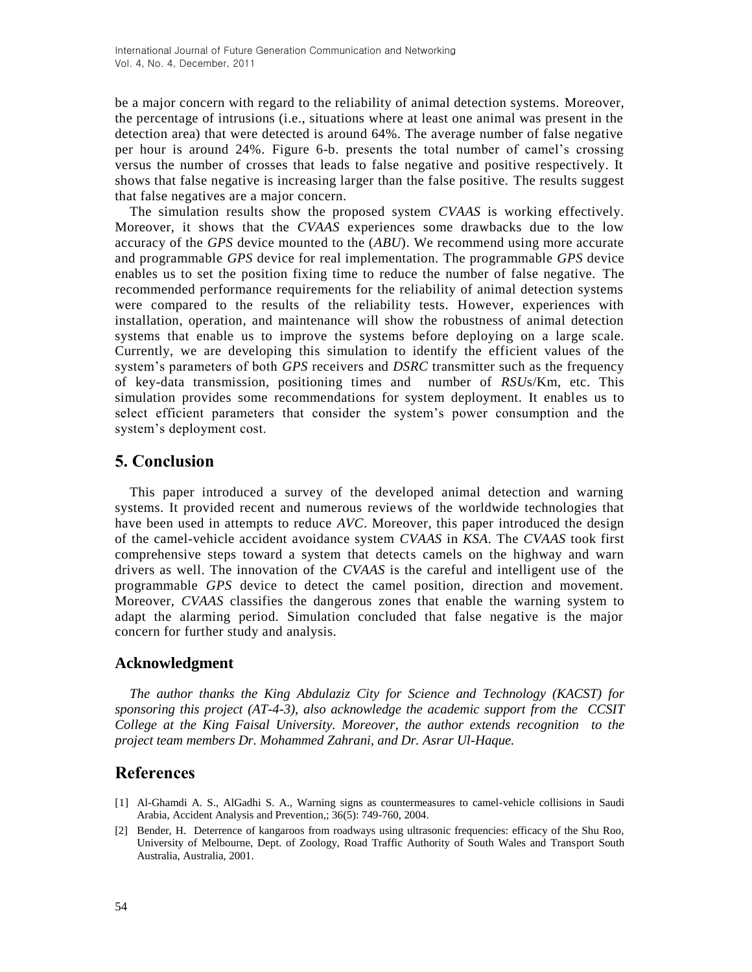be a major concern with regard to the reliability of animal detection systems. Moreover, the percentage of intrusions (i.e., situations where at least one animal was present in the detection area) that were detected is around 64%. The average number of false negative per hour is around 24%. Figure 6-b. presents the total number of camel's crossing versus the number of crosses that leads to false negative and positive respectively. It shows that false negative is increasing larger than the false positive. The results suggest that false negatives are a major concern.

The simulation results show the proposed system *CVAAS* is working effectively. Moreover, it shows that the *CVAAS* experiences some drawbacks due to the low accuracy of the *GPS* device mounted to the (*ABU*). We recommend using more accurate and programmable *GPS* device for real implementation. The programmable *GPS* device enables us to set the position fixing time to reduce the number of false negative. The recommended performance requirements for the reliability of animal detection systems were compared to the results of the reliability tests. However, experiences with installation, operation, and maintenance will show the robustness of animal detection systems that enable us to improve the systems before deploying on a large scale. Currently, we are developing this simulation to identify the efficient values of the system's parameters of both *GPS* receivers and *DSRC* transmitter such as the frequency of key-data transmission, positioning times and number of *RSU*s/Km, etc. This simulation provides some recommendations for system deployment. It enables us to select efficient parameters that consider the system's power consumption and the system's deployment cost.

# **5. Conclusion**

This paper introduced a survey of the developed animal detection and warning systems. It provided recent and numerous reviews of the worldwide technologies that have been used in attempts to reduce *AVC*. Moreover, this paper introduced the design of the camel-vehicle accident avoidance system *CVAAS* in *KSA*. The *CVAAS* took first comprehensive steps toward a system that detects camels on the highway and warn drivers as well. The innovation of the *CVAAS* is the careful and intelligent use of the programmable *GPS* device to detect the camel position, direction and movement. Moreover, *CVAAS* classifies the dangerous zones that enable the warning system to adapt the alarming period. Simulation concluded that false negative is the major concern for further study and analysis.

# **Acknowledgment**

*The author thanks the King Abdulaziz City for Science and Technology (KACST) for sponsoring this project (AT-4-3), also acknowledge the academic support from the CCSIT College at the King Faisal University. Moreover, the author extends recognition to the project team members Dr. Mohammed Zahrani, and Dr. Asrar Ul-Haque.*

# **References**

- [1] Al-Ghamdi A. S., AlGadhi S. A., Warning signs as countermeasures to camel-vehicle collisions in Saudi Arabia[, Accident Analysis and Preve](http://www.elsevier.com/wps/find/journaldescription.cws_home/336/description#description)ntion,; 36(5): 749-760, 2004.
- [2] Bender, H. Deterrence of kangaroos from roadways using ultrasonic frequencies: efficacy of the Shu Roo, University of Melbourne, Dept. of Zoology, Road Traffic Authority of South Wales and Transport South Australia, Australia, 2001.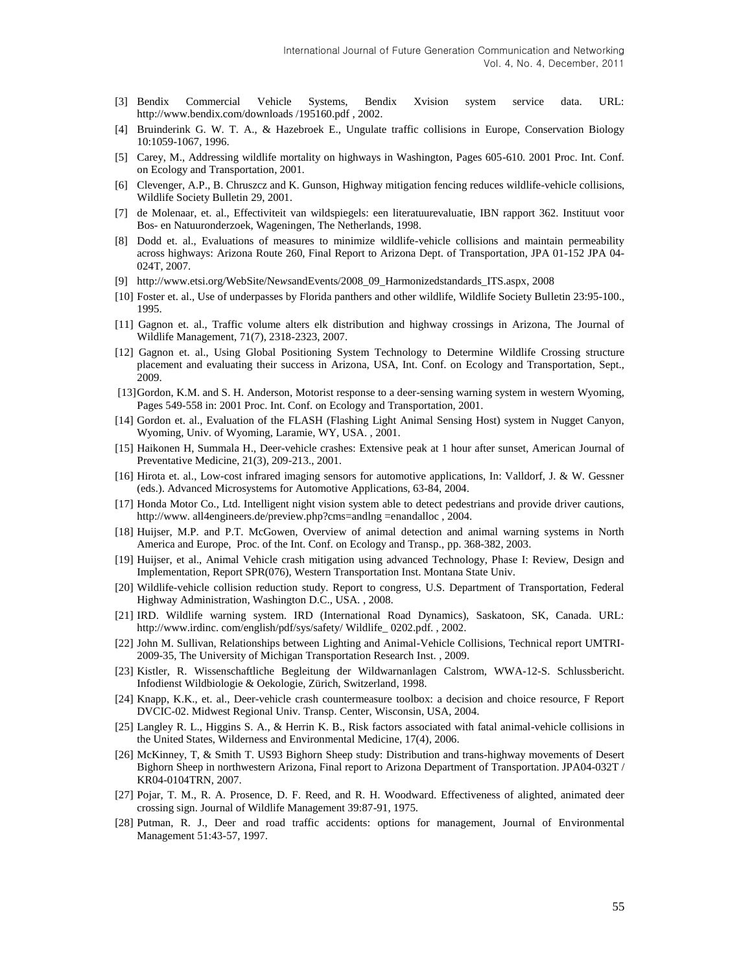- [3] Bendix Commercial Vehicle Systems, Bendix Xvision system service data. URL: [http://www.bendix.com/downloads /195160.pdf](http://www.bendix.com/downloads%20/195160.pdf) , 2002.
- [4] Bruinderink G. W. T. A., & Hazebroek E., Ungulate traffic collisions in Europe, Conservation Biology 10:1059-1067, 1996.
- [5] Carey, M., Addressing wildlife mortality on highways in Washington, Pages 605-610. 2001 Proc. Int. Conf. on Ecology and Transportation, 2001.
- [6] Clevenger, A.P., B. Chruszcz and K. Gunson, Highway mitigation fencing reduces wildlife-vehicle collisions, Wildlife Society Bulletin 29, 2001.
- [7] de Molenaar, et. al., Effectiviteit van wildspiegels: een literatuurevaluatie, IBN rapport 362. Instituut voor Bos- en Natuuronderzoek, Wageningen, The Netherlands, 1998.
- [8] Dodd et. al., Evaluations of measures to minimize wildlife-vehicle collisions and maintain permeability across highways: Arizona Route 260, Final Report to Arizona Dept. of Transportation, JPA 01-152 JPA 04- 024T, 2007.
- [9] http://www.etsi.org/WebSite/Ne*ws*andEvents/2008\_09\_Harmonizedstandards\_ITS.aspx, 2008
- [10] Foster et. al., Use of underpasses by Florida panthers and other wildlife, Wildlife Society Bulletin 23:95-100., 1995.
- [11] Gagnon et. al., Traffic volume alters elk distribution and highway crossings in Arizona, The Journal of Wildlife Management, 71(7), 2318-2323, 2007.
- [12] Gagnon et. al., Using Global Positioning System Technology to Determine Wildlife Crossing structure placement and evaluating their success in Arizona, USA, Int. Conf. on Ecology and Transportation, Sept., 2009.
- [13]Gordon, K.M. and S. H. Anderson, Motorist response to a deer-sensing warning system in western Wyoming, Pages 549-558 in: 2001 Proc. Int. Conf. on Ecology and Transportation, 2001.
- [14] Gordon et. al., Evaluation of the FLASH (Flashing Light Animal Sensing Host) system in Nugget Canyon, Wyoming, Univ. of Wyoming, Laramie, WY, USA. , 2001.
- [15] Haikonen H, Summala H., Deer-vehicle crashes: Extensive peak at 1 hour after sunset, American Journal of Preventative Medicine, 21(3), 209-213., 2001.
- [16] Hirota et. al., Low-cost infrared imaging sensors for automotive applications, In: Valldorf, J. & W. Gessner (eds.). Advanced Microsystems for Automotive Applications, 63-84, 2004.
- [17] Honda Motor Co., Ltd. Intelligent night vision system able to detect pedestrians and provide driver cautions, [http://www.](http://www/) all4engineers.de/preview.php?cms=andlng =enandalloc , 2004.
- [18] Huijser, M.P. and P.T. McGowen, Overview of animal detection and animal warning systems in North America and Europe, Proc. of the Int. Conf. on Ecology and Transp., pp. 368-382, 2003.
- [19] Huijser, et al., Animal Vehicle crash mitigation using advanced Technology, Phase I: Review, Design and Implementation, Report SPR(076), Western Transportation Inst. Montana State Univ.
- [20] Wildlife-vehicle collision reduction study. Report to congress, U.S. Department of Transportation, Federal Highway Administration, Washington D.C., USA. , 2008.
- [21] IRD. Wildlife warning system. IRD (International Road Dynamics), Saskatoon, SK, Canada. URL: http://www.irdinc. com/english/pdf/sys/safety/ Wildlife\_ 0202.pdf. , 2002.
- [22] John M. Sullivan, Relationships between Lighting and Animal-Vehicle Collisions, Technical report UMTRI-2009-35, The University of Michigan Transportation Research Inst. , 2009.
- [23] Kistler, R. Wissenschaftliche Begleitung der Wildwarnanlagen Calstrom, WWA-12-S. Schlussbericht. Infodienst Wildbiologie & Oekologie, Zürich, Switzerland, 1998.
- [24] Knapp, K.K., et. al., Deer-vehicle crash countermeasure toolbox: a decision and choice resource, F Report DVCIC-02. Midwest Regional Univ. Transp. Center, Wisconsin, USA, 2004.
- [25] Langley R. L., Higgins S. A., & Herrin K. B., Risk factors associated with fatal animal-vehicle collisions in the United States, Wilderness and Environmental Medicine, 17(4), 2006.
- [26] McKinney, T, & Smith T. US93 Bighorn Sheep study: Distribution and trans-highway movements of Desert Bighorn Sheep in northwestern Arizona, Final report to Arizona Department of Transportation. JPA04-032T / KR04-0104TRN, 2007.
- [27] Pojar, T. M., R. A. Prosence, D. F. Reed, and R. H. Woodward. Effectiveness of alighted, animated deer crossing sign. Journal of Wildlife Management 39:87-91, 1975.
- [28] Putman, R. J., Deer and road traffic accidents: options for management, Journal of Environmental Management 51:43-57, 1997.